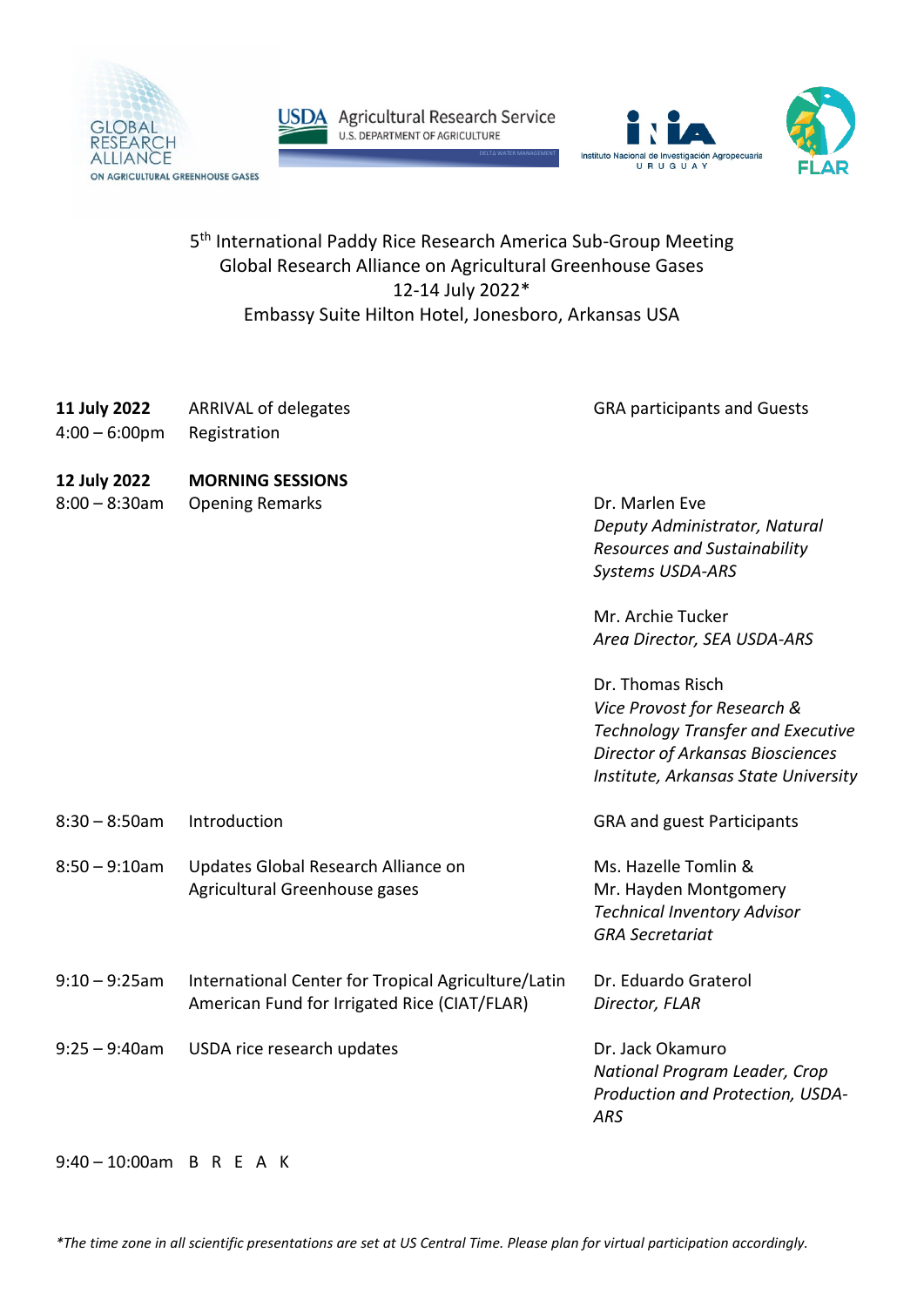



USDA Agricultural Research Service



## 5<sup>th</sup> International Paddy Rice Research America Sub-Group Meeting Global Research Alliance on Agricultural Greenhouse Gases 12-14 July 2022\* Embassy Suite Hilton Hotel, Jonesboro, Arkansas USA

| 11 July 2022<br>$4:00 - 6:00$ pm | <b>ARRIVAL of delegates</b><br>Registration                                                         | <b>GRA participants and Guests</b>                                                                                                                                                                                                                                                                |
|----------------------------------|-----------------------------------------------------------------------------------------------------|---------------------------------------------------------------------------------------------------------------------------------------------------------------------------------------------------------------------------------------------------------------------------------------------------|
| 12 July 2022<br>$8:00 - 8:30$ am | <b>MORNING SESSIONS</b><br><b>Opening Remarks</b>                                                   | Dr. Marlen Eve<br>Deputy Administrator, Natural<br>Resources and Sustainability<br>Systems USDA-ARS<br>Mr. Archie Tucker<br>Area Director, SEA USDA-ARS<br>Dr. Thomas Risch<br>Vice Provost for Research &<br><b>Technology Transfer and Executive</b><br><b>Director of Arkansas Biosciences</b> |
| $8:30 - 8:50$ am                 | Introduction                                                                                        | Institute, Arkansas State University<br><b>GRA and guest Participants</b>                                                                                                                                                                                                                         |
| $8:50 - 9:10$ am                 | Updates Global Research Alliance on<br>Agricultural Greenhouse gases                                | Ms. Hazelle Tomlin &<br>Mr. Hayden Montgomery<br><b>Technical Inventory Advisor</b><br><b>GRA Secretariat</b>                                                                                                                                                                                     |
| $9:10 - 9:25$ am                 | International Center for Tropical Agriculture/Latin<br>American Fund for Irrigated Rice (CIAT/FLAR) | Dr. Eduardo Graterol<br>Director, FLAR                                                                                                                                                                                                                                                            |
| $9:25 - 9:40$ am                 | USDA rice research updates                                                                          | Dr. Jack Okamuro<br>National Program Leader, Crop<br>Production and Protection, USDA-<br><b>ARS</b>                                                                                                                                                                                               |

## 9:40 – 10:00am B R E A K

*\*The time zone in all scientific presentations are set at US Central Time. Please plan for virtual participation accordingly.*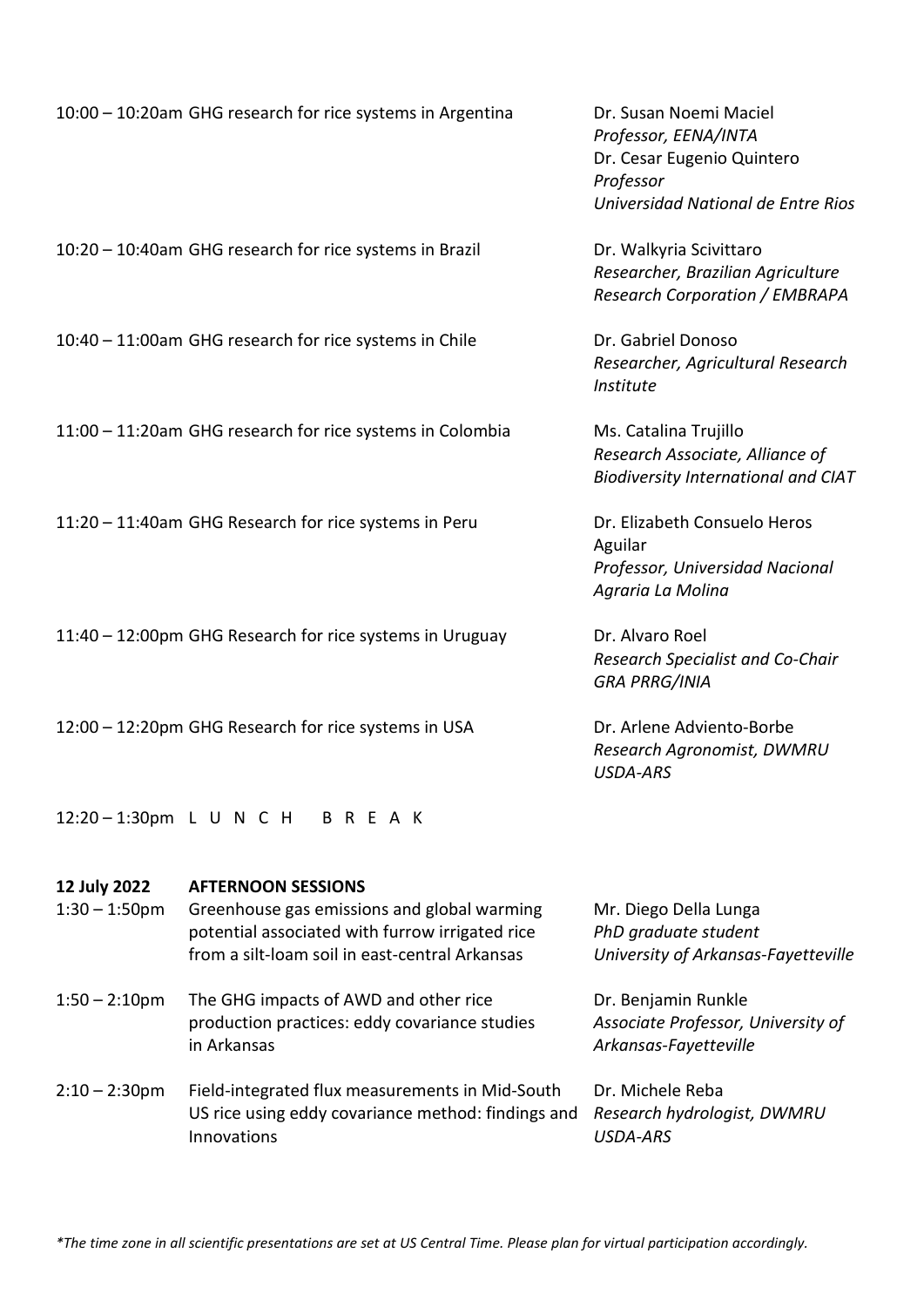|                  | 10:00 - 10:20am GHG research for rice systems in Argentina                                        | Dr. Susan Noemi Maciel<br>Professor, EENA/INTA<br>Dr. Cesar Eugenio Quintero<br>Professor<br>Universidad National de Entre Rios |
|------------------|---------------------------------------------------------------------------------------------------|---------------------------------------------------------------------------------------------------------------------------------|
|                  | 10:20 - 10:40am GHG research for rice systems in Brazil                                           | Dr. Walkyria Scivittaro<br>Researcher, Brazilian Agriculture<br><b>Research Corporation / EMBRAPA</b>                           |
|                  | 10:40 - 11:00am GHG research for rice systems in Chile                                            | Dr. Gabriel Donoso<br>Researcher, Agricultural Research<br>Institute                                                            |
|                  | 11:00 - 11:20am GHG research for rice systems in Colombia                                         | Ms. Catalina Trujillo<br>Research Associate, Alliance of<br><b>Biodiversity International and CIAT</b>                          |
|                  | 11:20 - 11:40am GHG Research for rice systems in Peru                                             | Dr. Elizabeth Consuelo Heros<br>Aguilar<br>Professor, Universidad Nacional<br>Agraria La Molina                                 |
|                  | 11:40 - 12:00pm GHG Research for rice systems in Uruguay                                          | Dr. Alvaro Roel<br>Research Specialist and Co-Chair<br><b>GRA PRRG/INIA</b>                                                     |
|                  | 12:00 - 12:20pm GHG Research for rice systems in USA                                              | Dr. Arlene Adviento-Borbe<br>Research Agronomist, DWMRU<br><b>USDA-ARS</b>                                                      |
|                  | 12:20 - 1:30pm L U N C H B R E A K                                                                |                                                                                                                                 |
| 12 July 2022     | <b>AFTERNOON SESSIONS</b>                                                                         |                                                                                                                                 |
| $1:30 - 1:50$ pm | Greenhouse gas emissions and global warming                                                       | Mr. Diego Della Lunga                                                                                                           |
|                  | potential associated with furrow irrigated rice<br>from a silt-loam soil in east-central Arkansas | PhD graduate student<br>University of Arkansas-Fayetteville                                                                     |

- 1:50 2:10pm The GHG impacts of AWD and other rice Dr. Benjamin Runkle production practices: eddy covariance studies *Associate Professor, University of*  in Arkansas *Arkansas-Fayetteville*
- 2:10 2:30pm Field-integrated flux measurements in Mid-South Dr. Michele Reba US rice using eddy covariance method: findings and *Research hydrologist, DWMRU*  Innovations *USDA-ARS*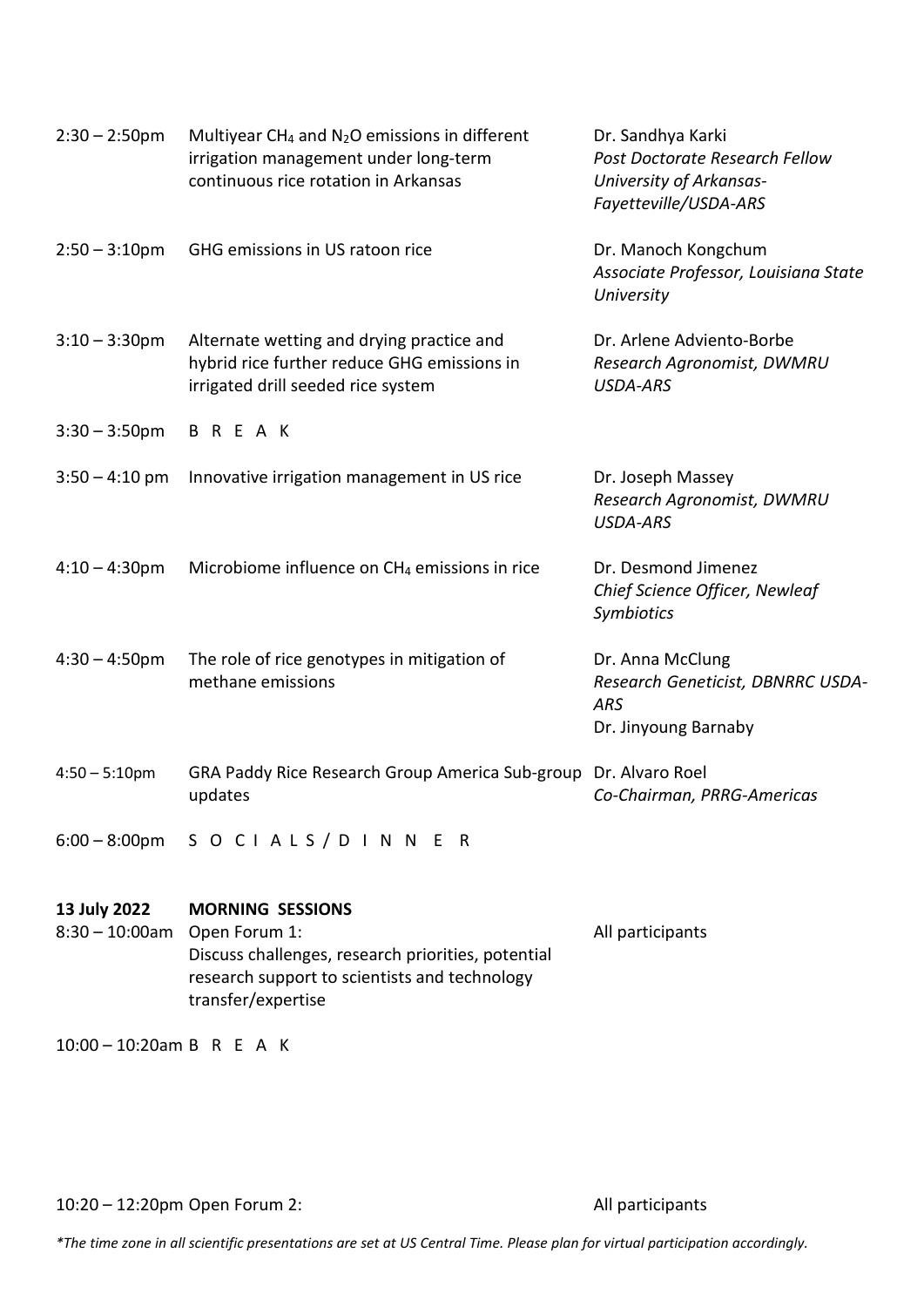| $2:30 - 2:50$ pm                  | Multiyear $CH_4$ and $N_2O$ emissions in different<br>irrigation management under long-term<br>continuous rice rotation in Arkansas        | Dr. Sandhya Karki<br>Post Doctorate Research Fellow<br>University of Arkansas-<br>Fayetteville/USDA-ARS |  |  |
|-----------------------------------|--------------------------------------------------------------------------------------------------------------------------------------------|---------------------------------------------------------------------------------------------------------|--|--|
| $2:50 - 3:10$ pm                  | GHG emissions in US ratoon rice                                                                                                            | Dr. Manoch Kongchum<br>Associate Professor, Louisiana State<br>University                               |  |  |
| $3:10 - 3:30$ pm                  | Alternate wetting and drying practice and<br>hybrid rice further reduce GHG emissions in<br>irrigated drill seeded rice system             | Dr. Arlene Adviento-Borbe<br>Research Agronomist, DWMRU<br><b>USDA-ARS</b>                              |  |  |
| $3:30 - 3:50$ pm                  | BREAK                                                                                                                                      |                                                                                                         |  |  |
| $3:50 - 4:10$ pm                  | Innovative irrigation management in US rice                                                                                                | Dr. Joseph Massey<br>Research Agronomist, DWMRU<br><b>USDA-ARS</b>                                      |  |  |
| $4:10 - 4:30$ pm                  | Microbiome influence on CH <sub>4</sub> emissions in rice                                                                                  | Dr. Desmond Jimenez<br>Chief Science Officer, Newleaf<br>Symbiotics                                     |  |  |
| $4:30 - 4:50$ pm                  | The role of rice genotypes in mitigation of<br>methane emissions                                                                           | Dr. Anna McClung<br>Research Geneticist, DBNRRC USDA-<br><b>ARS</b><br>Dr. Jinyoung Barnaby             |  |  |
| $4:50 - 5:10$ pm                  | GRA Paddy Rice Research Group America Sub-group<br>updates                                                                                 | Dr. Alvaro Roel<br>Co-Chairman, PRRG-Americas                                                           |  |  |
|                                   | 6:00 - 8:00pm SOCIALS / DINNER                                                                                                             |                                                                                                         |  |  |
| 13 July 2022<br>$8:30 - 10:00$ am | <b>MORNING SESSIONS</b>                                                                                                                    |                                                                                                         |  |  |
|                                   | Open Forum 1:<br>Discuss challenges, research priorities, potential<br>research support to scientists and technology<br>transfer/expertise | All participants                                                                                        |  |  |
| $10:00 - 10:20$ am B R E A K      |                                                                                                                                            |                                                                                                         |  |  |

10:20 – 12:20pm Open Forum 2: All participants